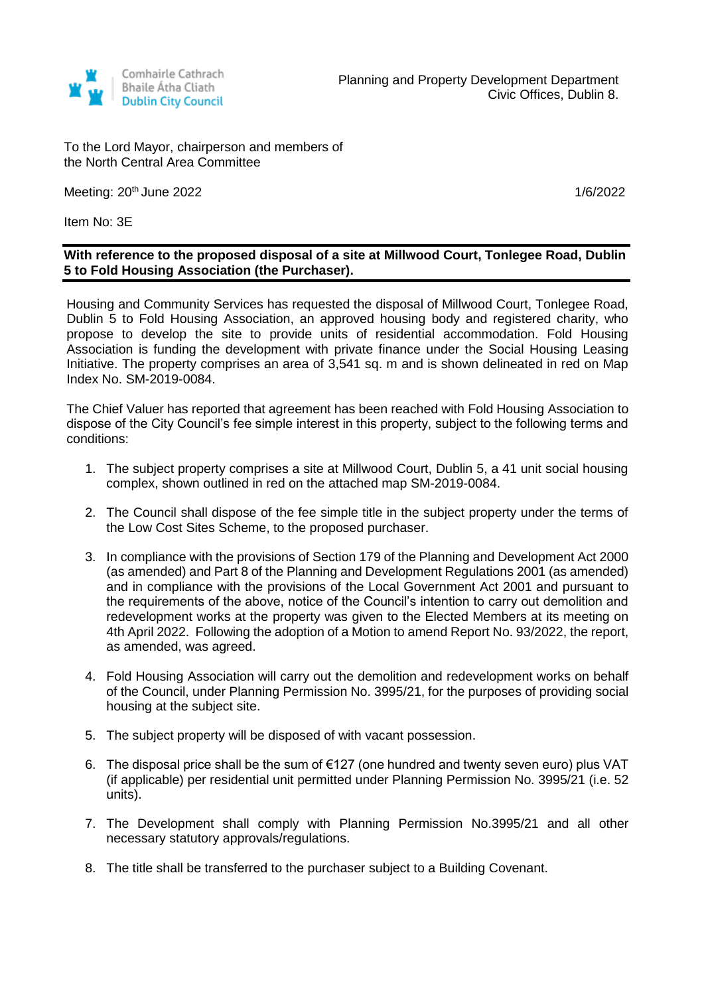

To the Lord Mayor, chairperson and members of the North Central Area Committee

Meeting: 20<sup>th</sup> June 2022 **1/6/2022** 

Item No: 3E

## **With reference to the proposed disposal of a site at Millwood Court, Tonlegee Road, Dublin 5 to Fold Housing Association (the Purchaser).**

Housing and Community Services has requested the disposal of Millwood Court, Tonlegee Road, Dublin 5 to Fold Housing Association, an approved housing body and registered charity, who propose to develop the site to provide units of residential accommodation. Fold Housing Association is funding the development with private finance under the Social Housing Leasing Initiative. The property comprises an area of 3,541 sq. m and is shown delineated in red on Map Index No. SM-2019-0084.

The Chief Valuer has reported that agreement has been reached with Fold Housing Association to dispose of the City Council's fee simple interest in this property, subject to the following terms and conditions:

- 1. The subject property comprises a site at Millwood Court, Dublin 5, a 41 unit social housing complex, shown outlined in red on the attached map SM-2019-0084.
- 2. The Council shall dispose of the fee simple title in the subject property under the terms of the Low Cost Sites Scheme, to the proposed purchaser.
- 3. In compliance with the provisions of Section 179 of the Planning and Development Act 2000 (as amended) and Part 8 of the Planning and Development Regulations 2001 (as amended) and in compliance with the provisions of the Local Government Act 2001 and pursuant to the requirements of the above, notice of the Council's intention to carry out demolition and redevelopment works at the property was given to the Elected Members at its meeting on 4th April 2022. Following the adoption of a Motion to amend Report No. 93/2022, the report, as amended, was agreed.
- 4. Fold Housing Association will carry out the demolition and redevelopment works on behalf of the Council, under Planning Permission No. 3995/21, for the purposes of providing social housing at the subject site.
- 5. The subject property will be disposed of with vacant possession.
- 6. The disposal price shall be the sum of €127 (one hundred and twenty seven euro) plus VAT (if applicable) per residential unit permitted under Planning Permission No. 3995/21 (i.e. 52 units).
- 7. The Development shall comply with Planning Permission No.3995/21 and all other necessary statutory approvals/regulations.
- 8. The title shall be transferred to the purchaser subject to a Building Covenant.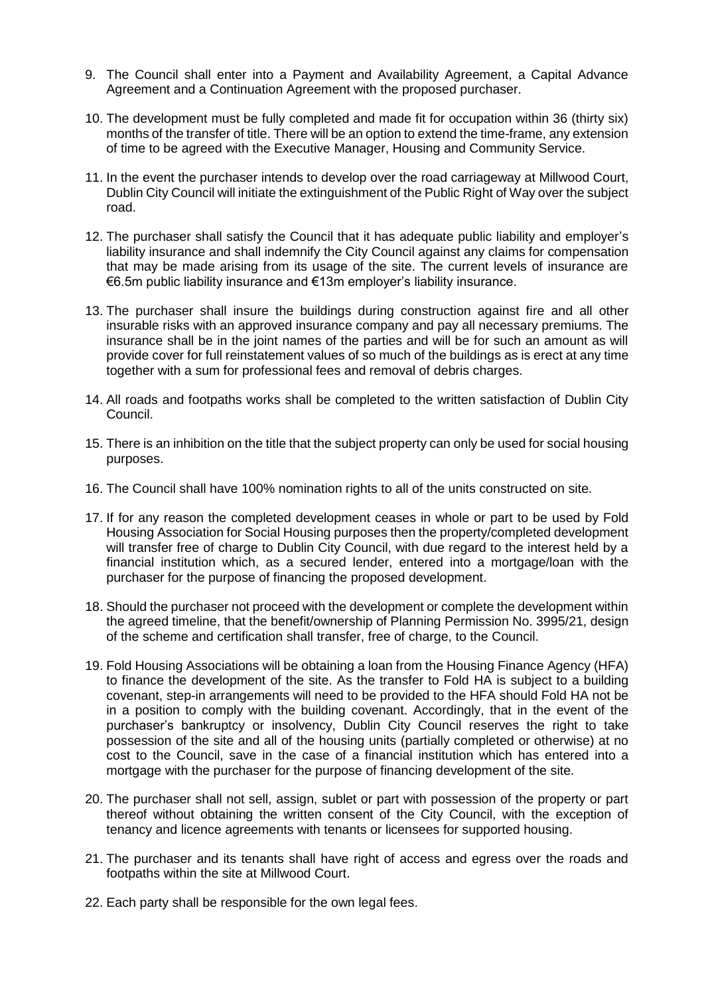- 9. The Council shall enter into a Payment and Availability Agreement, a Capital Advance Agreement and a Continuation Agreement with the proposed purchaser.
- 10. The development must be fully completed and made fit for occupation within 36 (thirty six) months of the transfer of title. There will be an option to extend the time-frame, any extension of time to be agreed with the Executive Manager, Housing and Community Service.
- 11. In the event the purchaser intends to develop over the road carriageway at Millwood Court, Dublin City Council will initiate the extinguishment of the Public Right of Way over the subject road.
- 12. The purchaser shall satisfy the Council that it has adequate public liability and employer's liability insurance and shall indemnify the City Council against any claims for compensation that may be made arising from its usage of the site. The current levels of insurance are €6.5m public liability insurance and €13m employer's liability insurance.
- 13. The purchaser shall insure the buildings during construction against fire and all other insurable risks with an approved insurance company and pay all necessary premiums. The insurance shall be in the joint names of the parties and will be for such an amount as will provide cover for full reinstatement values of so much of the buildings as is erect at any time together with a sum for professional fees and removal of debris charges.
- 14. All roads and footpaths works shall be completed to the written satisfaction of Dublin City Council.
- 15. There is an inhibition on the title that the subject property can only be used for social housing purposes.
- 16. The Council shall have 100% nomination rights to all of the units constructed on site.
- 17. If for any reason the completed development ceases in whole or part to be used by Fold Housing Association for Social Housing purposes then the property/completed development will transfer free of charge to Dublin City Council, with due regard to the interest held by a financial institution which, as a secured lender, entered into a mortgage/loan with the purchaser for the purpose of financing the proposed development.
- 18. Should the purchaser not proceed with the development or complete the development within the agreed timeline, that the benefit/ownership of Planning Permission No. 3995/21, design of the scheme and certification shall transfer, free of charge, to the Council.
- 19. Fold Housing Associations will be obtaining a loan from the Housing Finance Agency (HFA) to finance the development of the site. As the transfer to Fold HA is subject to a building covenant, step-in arrangements will need to be provided to the HFA should Fold HA not be in a position to comply with the building covenant. Accordingly, that in the event of the purchaser's bankruptcy or insolvency, Dublin City Council reserves the right to take possession of the site and all of the housing units (partially completed or otherwise) at no cost to the Council, save in the case of a financial institution which has entered into a mortgage with the purchaser for the purpose of financing development of the site.
- 20. The purchaser shall not sell, assign, sublet or part with possession of the property or part thereof without obtaining the written consent of the City Council, with the exception of tenancy and licence agreements with tenants or licensees for supported housing.
- 21. The purchaser and its tenants shall have right of access and egress over the roads and footpaths within the site at Millwood Court.
- 22. Each party shall be responsible for the own legal fees.